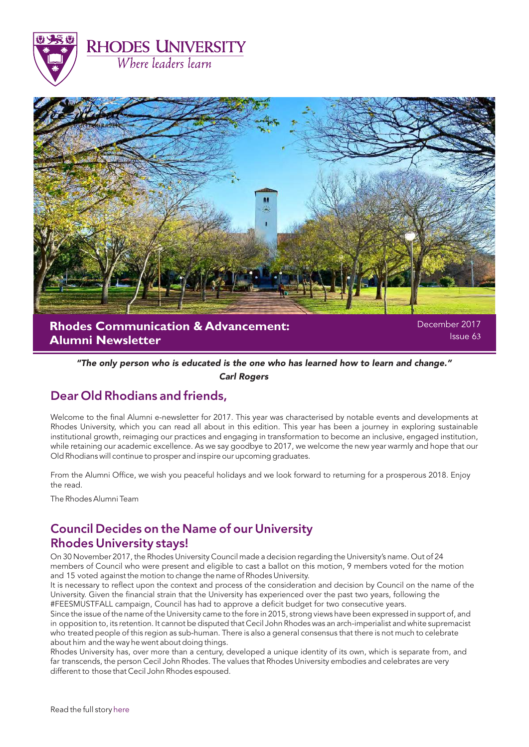



"The only person who is educated is the one who has learned how to learn and change."

Carl Rogers

# Dear Old Rhodians and friends,

Welcome to the final Alumni e-newsletter for 2017. This year was characterised by notable events and developments at Rhodes University, which you can read all about in this edition. This year has been a journey in exploring sustainable institutional growth, reimaging our practices and engaging in transformation to become an inclusive, engaged institution, while retaining our academic excellence. As we say goodbye to 2017, we welcome the new year warmly and hope that our Old Rhodians will continue to prosper and inspire our upcoming graduates.

From the Alumni Office, we wish you peaceful holidays and we look forward to returning for a prosperous 2018. Enjoy the read.

The Rhodes Alumni Team

# Council Decides on the Name of our University Rhodes University stays!

On 30 November 2017, the Rhodes University Council made a decision regarding the University's name. Out of 24 members of Council who were present and eligible to cast a ballot on this motion, 9 members voted for the motion and 15 voted against the motion to change the name of Rhodes University.

It is necessary to reflect upon the context and process of the consideration and decision by Council on the name of the University. Given the financial strain that the University has experienced over the past two years, following the #FEESMUSTFALL campaign, Council has had to approve a deficit budget for two consecutive years.

Since the issue of the name of the University came to the fore in 2015, strong views have been expressed in support of, and in opposition to, its retention. It cannot be disputed that Cecil John Rhodes was an arch-imperialist and white supremacist who treated people of this region as sub-human. There is also a general consensus that there is not much to celebrate about him and the way he went about doing things.

Rhodes University has, over more than a century, developed a unique identity of its own, which is separate from, and far transcends, the person Cecil John Rhodes. The values that Rhodes University embodies and celebrates are very different to those that Cecil John Rhodes espoused.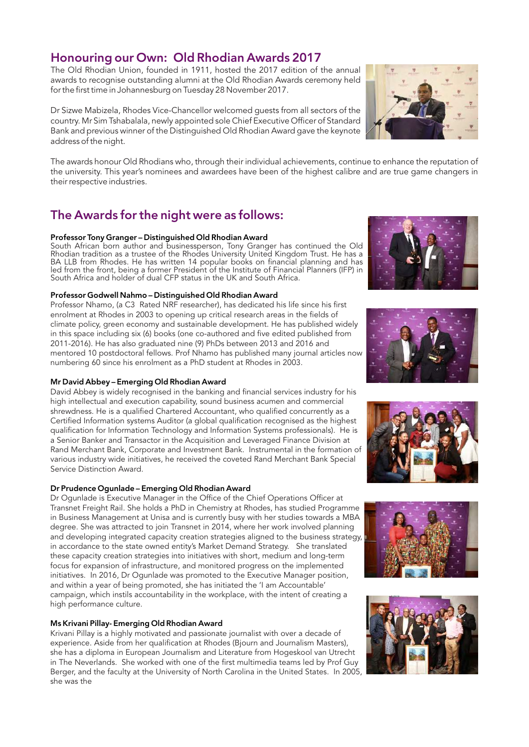# Honouring our Own: Old Rhodian Awards 2017

The Old Rhodian Union, founded in 1911, hosted the 2017 edition of the annual awards to recognise outstanding alumni at the Old Rhodian Awards ceremony held for the first time in Johannesburg on Tuesday 28 November 2017.

Dr Sizwe Mabizela, Rhodes Vice-Chancellor welcomed guests from all sectors of the country. Mr Sim Tshabalala, newly appointed sole Chief Executive Officer of Standard Bank and previous winner of the Distinguished Old Rhodian Award gave the keynote address of the night.

The awards honour Old Rhodians who, through their individual achievements, continue to enhance the reputation of the university. This year's nominees and awardees have been of the highest calibre and are true game changers in their respective industries.

# The Awards for the night were as follows:

#### Professor Tony Granger – Distinguished Old Rhodian Award

South African born author and businessperson, Tony Granger has continued the Old Rhodian tradition as a trustee of the Rhodes University United Kingdom Trust. He has a BA LLB from Rhodes. He has written 14 popular books on financial planning and has led from the front, being a former President of the Institute of Financial Planners (IFP) in South Africa and holder of dual CFP status in the UK and South Africa.

#### Professor Godwell Nahmo – Distinguished Old Rhodian Award

Professor Nhamo, (a C3 Rated NRF researcher), has dedicated his life since his first enrolment at Rhodes in 2003 to opening up critical research areas in the fields of climate policy, green economy and sustainable development. He has published widely in this space including six (6) books (one co-authored and five edited published from 2011-2016). He has also graduated nine (9) PhDs between 2013 and 2016 and mentored 10 postdoctoral fellows. Prof Nhamo has published many journal articles now numbering 60 since his enrolment as a PhD student at Rhodes in 2003.

#### Mr David Abbey – Emerging Old Rhodian Award

David Abbey is widely recognised in the banking and financial services industry for his high intellectual and execution capability, sound business acumen and commercial shrewdness. He is a qualified Chartered Accountant, who qualified concurrently as a Certified Information systems Auditor (a global qualification recognised as the highest qualification for Information Technology and Information Systems professionals). He is a Senior Banker and Transactor in the Acquisition and Leveraged Finance Division at Rand Merchant Bank, Corporate and Investment Bank. Instrumental in the formation of various industry wide initiatives, he received the coveted Rand Merchant Bank Special Service Distinction Award.

#### Dr Prudence Ogunlade – Emerging Old Rhodian Award

Dr Ogunlade is Executive Manager in the Office of the Chief Operations Officer at Transnet Freight Rail. She holds a PhD in Chemistry at Rhodes, has studied Programme in Business Management at Unisa and is currently busy with her studies towards a MBA degree. She was attracted to join Transnet in 2014, where her work involved planning and developing integrated capacity creation strategies aligned to the business strategy, in accordance to the state owned entity's Market Demand Strategy. She translated these capacity creation strategies into initiatives with short, medium and long-term focus for expansion of infrastructure, and monitored progress on the implemented initiatives. In 2016, Dr Ogunlade was promoted to the Executive Manager position, and within a year of being promoted, she has initiated the 'I am Accountable' campaign, which instils accountability in the workplace, with the intent of creating a high performance culture.

#### Ms Krivani Pillay- Emerging Old Rhodian Award

Krivani Pillay is a highly motivated and passionate journalist with over a decade of experience. Aside from her qualification at Rhodes (Bjourn and Journalism Masters), she has a diploma in European Journalism and Literature from Hogeskool van Utrecht in The Neverlands. She worked with one of the first multimedia teams led by Prof Guy Berger, and the faculty at the University of North Carolina in the United States. In 2005, she was the











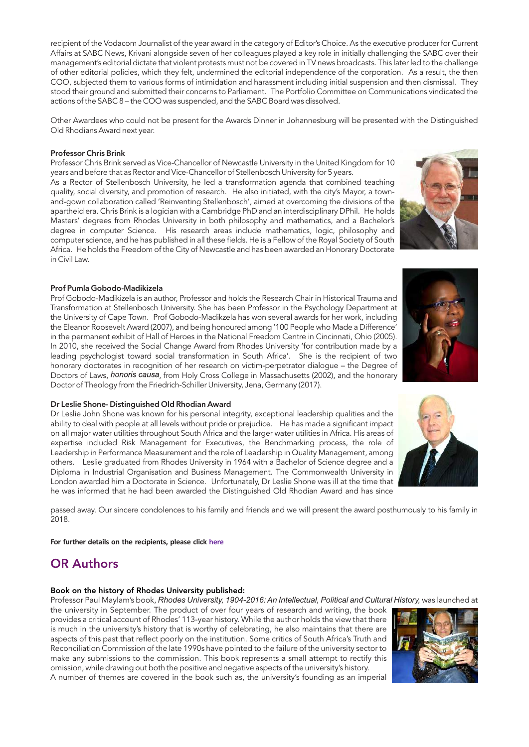recipient of the Vodacom Journalist of the year award in the category of Editor's Choice. As the executive producer for Current Affairs at SABC News, Krivani alongside seven of her colleagues played a key role in initially challenging the SABC over their management's editorial dictate that violent protests must not be covered in TV news broadcasts. This later led to the challenge of other editorial policies, which they felt, undermined the editorial independence of the corporation. As a result, the then COO, subjected them to various forms of intimidation and harassment including initial suspension and then dismissal. They stood their ground and submitted their concerns to Parliament. The Portfolio Committee on Communications vindicated the actions of the SABC 8 – the COO was suspended, and the SABC Board was dissolved.

Other Awardees who could not be present for the Awards Dinner in Johannesburg will be presented with the Distinguished Old Rhodians Award next year.

#### Professor Chris Brink

Professor Chris Brink served as Vice-Chancellor of Newcastle University in the United Kingdom for 10 years and before that as Rector and Vice-Chancellor of Stellenbosch University for 5 years. As a Rector of Stellenbosch University, he led a transformation agenda that combined teaching quality, social diversity, and promotion of research. He also initiated, with the city's Mayor, a townand-gown collaboration called 'Reinventing Stellenbosch', aimed at overcoming the divisions of the apartheid era. Chris Brink is a logician with a Cambridge PhD and an interdisciplinary DPhil. He holds Masters' degrees from Rhodes University in both philosophy and mathematics, and a Bachelor's degree in computer Science. His research areas include mathematics, logic, philosophy and computer science, and he has published in all these fields. He is a Fellow of the Royal Society of South Africa. He holds the Freedom of the City of Newcastle and has been awarded an Honorary Doctorate in Civil Law.



#### Prof Pumla Gobodo-Madikizela

Prof Gobodo-Madikizela is an author, Professor and holds the Research Chair in Historical Trauma and Transformation at Stellenbosch University. She has been Professor in the Psychology Department at the University of Cape Town. Prof Gobodo-Madikzela has won several awards for her work, including the Eleanor Roosevelt Award (2007), and being honoured among '100 People who Made a Difference' in the permanent exhibit of Hall of Heroes in the National Freedom Centre in Cincinnati, Ohio (2005). In 2010, she received the Social Change Award from Rhodes University 'for contribution made by a leading psychologist toward social transformation in South Africa'. She is the recipient of two honorary doctorates in recognition of her research on victim-perpetrator dialogue – the Degree of Doctors of Laws, honoris causa, from Holy Cross College in Massachusetts (2002), and the honorary Doctor of Theology from the Friedrich-Schiller University, Jena, Germany (2017).

#### Dr Leslie Shone- Distinguished Old Rhodian Award

Dr Leslie John Shone was known for his personal integrity, exceptional leadership qualities and the ability to deal with people at all levels without pride or prejudice. He has made a significant impact on all major water utilities throughout South Africa and the larger water utilities in Africa. His areas of expertise included Risk Management for Executives, the Benchmarking process, the role of Leadership in Performance Measurement and the role of Leadership in Quality Management, among others. Leslie graduated from Rhodes University in 1964 with a Bachelor of Science degree and a Diploma in Industrial Organisation and Business Management. The Commonwealth University in London awarded him a Doctorate in Science. Unfortunately, Dr Leslie Shone was ill at the time that he was informed that he had been awarded the Distinguished Old Rhodian Award and has since

passed away. Our sincere condolences to his family and friends and we will present the award posthumously to his family in 2018.

**For further details on the recipients, please click [here](http://www.ru.ac.za/communicationsandadvancement/alumnirelations/theorunion/oldrhodianawards/2017recipients/)**

## OR Authors

#### Book on the history of Rhodes University published:

Professor Paul Maylam's book, *Rhodes University, 1904-2016: An Intellectual, Political and Cultural History,* was launched at

the university in September. The product of over four years of research and writing, the book provides a critical account of Rhodes' 113-year history. While the author holds the view that there is much in the university's history that is worthy of celebrating, he also maintains that there are aspects of this past that reflect poorly on the institution. Some critics of South Africa's Truth and Reconciliation Commission of the late 1990s have pointed to the failure of the university sector to make any submissions to the commission. This book represents a small attempt to rectify this omission, while drawing out both the positive and negative aspects of the university's history. A number of themes are covered in the book such as, the university's founding as an imperial





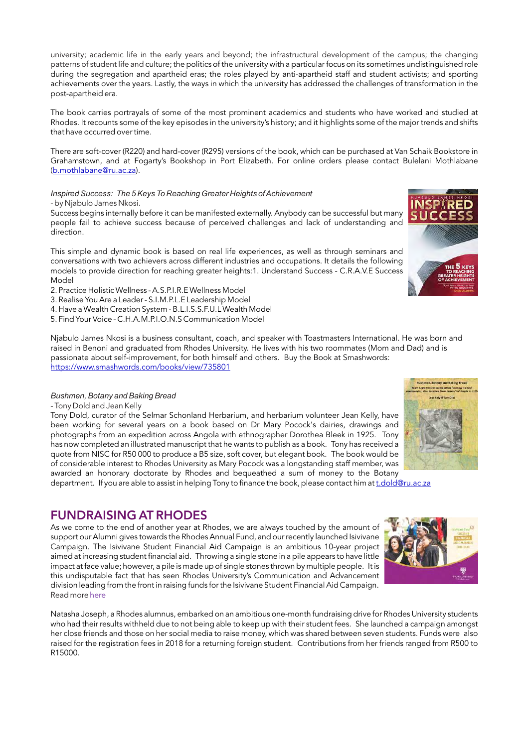university; academic life in the early years and beyond; the infrastructural development of the campus; the changing patterns of student life and culture; the politics of the university with a particular focus on its sometimes undistinguished role during the segregation and apartheid eras; the roles played by anti-apartheid staff and student activists; and sporting achievements over the years. Lastly, the ways in which the university has addressed the challenges of transformation in the post-apartheid era.

The book carries portrayals of some of the most prominent academics and students who have worked and studied at Rhodes. It recounts some of the key episodes in the university's history; and it highlights some of the major trends and shifts that have occurred over time.

There are soft-cover (R220) and hard-cover (R295) versions of the book, which can be purchased at Van Schaik Bookstore in Grahamstown, and at Fogarty's Bookshop in Port Elizabeth. For online orders please contact Bulelani Mothlabane [\(b.mothlabane@ru.ac.za](mailto:b.mothlabane@ru.ac.za)).

*Inspired Success: The 5 Keys To Reaching Greater Heights of Achievement*  - by Njabulo James Nkosi.

Success begins internally before it can be manifested externally. Anybody can be successful but many people fail to achieve success because of perceived challenges and lack of understanding and direction.

This simple and dynamic book is based on real life experiences, as well as through seminars and conversations with two achievers across different industries and occupations. It details the following models to provide direction for reaching greater heights:1. Understand Success - C.R.A.V.E Success Model



- 2. Practice Holistic Wellness A.S.P.I.R.E Wellness Model
- 3. Realise You Are a Leader S.I.M.P.L.E Leadership Model
- 4. Have a Wealth Creation System B.L.I.S.S.F.U.L Wealth Model
- 5. Find Your Voice C.H.A.M.P.I.O.N.S Communication Model

Njabulo James Nkosi is a business consultant, coach, and speaker with Toastmasters International. He was born and raised in Benoni and graduated from Rhodes University. He lives with his two roommates (Mom [an](https://www.smashwords.com/books/view/735801)d Dad) and is passionate about self-improvement, for both himself and others. Buy the Book at Smashwords: <https://www.smashwords.com/books/view/735801>

#### *Bushmen, Botany and Baking Bread*

- Tony Dold and Jean Kelly

Tony Dold, curator of the Selmar Schonland Herbarium, and herbarium volunteer Jean Kelly, have been working for several years on a book based on Dr Mary Pocock's dairies, drawings and photographs from an expedition across Angola with ethnographer Dorothea Bleek in 1925. Tony has now completed an illustrated manuscript that he wants to publish as a book. Tony has received a quote from NISC for R50 000 to produce a B5 size, soft cover, but elegant book. The book would be of considerable interest to Rhodes University as Mary Pocock was a longstanding staff member, was awarded an honorary doctorate by Rhodes and bequeathed a sum of money to the Botany

department. If you are able to assist in helping Tony to finance the book, please contact him at [t.dold@ru.ac.za](mailto:t.dold@ru.ac.za)

## FUNDRAISING AT RHODES

As we come to the end of another year at Rhodes, we are always touched by the amount of support our Alumni gives towards the Rhodes Annual Fund, and our recently launched Isivivane Campaign. The Isivivane Student Financial Aid Campaign is an ambitious 10-year project aimed at increasing student financial aid. Throwing a single stone in a pile appears to have little impact at face value; however, a pile is made up of single stones thrown by multiple people. It is this undisputable fact that has seen Rhodes University's Communication and Advancement division leading from the front in raising funds for the Isivivane Student Financial Aid Campaign. Read more [here](http://www.ru.ac.za/isivivane/)

Natasha Joseph, a Rhodes alumnus, embarked on an ambitious one-month fundraising drive for Rhodes University students who had their results withheld due to not being able to keep up with their student fees. She launched a campaign amongst her close friends and those on her social media to raise money, which was shared between seven students. Funds were also raised for the registration fees in 2018 for a returning foreign student. Contributions from her friends ranged from R500 to R15000.



**By and Reking Rrea** )<br>Similard at for *flammey!* U.<br>then Mask forcest but hem **CALCULATION** 

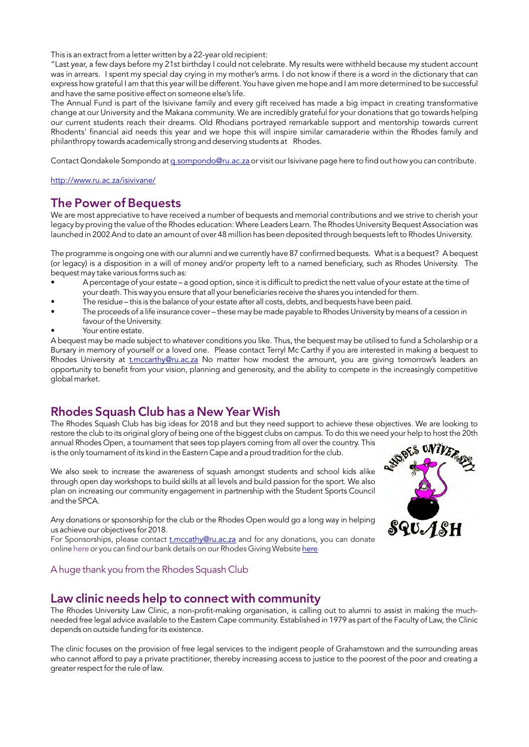This is an extract from a letter written by a 22-year old recipient:

"Last year, a few days before my 21st birthday I could not celebrate. My results were withheld because my student account was in arrears. I spent my special day crying in my mother's arms. I do not know if there is a word in the dictionary that can express how grateful I am that this year will be different. You have given me hope and I am more determined to be successful and have the same positive effect on someone else's life.

The Annual Fund is part of the Isivivane family and every gift received has made a big impact in creating transformative change at our University and the Makana community. We are incredibly grateful for your donations that go towards helping our current students reach their dreams. Old Rhodians portrayed remarkable support and mentorship towards current Rhodents' financial aid needs this year and we hope this will inspire similar camaraderie within the Rhodes family and philanthropy towards academically strong and deserving students at Rhodes.

Contact Qondakele Sompondo at [q.sompondo@ru.ac.za o](mailto:q.sompondo@ru.ac.za)r visit our Isivivane page here to find out how you can contribute.

<http://www.ru.ac.za/isivivane/>

### The Power of Bequests

We are most appreciative to have received a number of bequests and memorial contributions and we strive to cherish your legacy by proving the value of the Rhodes education: Where Leaders Learn. The Rhodes University Bequest Association was launched in 2002 And to date an amount of over 48 million has been deposited through bequests left to Rhodes University.

The programme is ongoing one with our alumni and we currently have 87 confirmed bequests. What is a bequest? A bequest (or legacy) is a disposition in a will of money and/or property left to a named beneficiary, such as Rhodes University. The bequest may take various forms such as:

- A percentage of your estate a good option, since it is difficult to predict the nett value of your estate at the time of your death. This way you ensure that all your beneficiaries receive the shares you intended for them.
- The residue this is the balance of your estate after all costs, debts, and bequests have been paid.
- The proceeds of a life insurance cover these may be made payable to Rhodes University by means of a cession in favour of the University.
- Your entire estate.

A bequest may be made subject to whatever conditions you like. Thus, the bequest may be utilised to fund a Scholarship or a Bursary in memory of yourself or a loved one. Please contact Terryl Mc Carthy if you are interested in making a bequest to Rhodes University at *[t.mccarthy@ru.ac.za](mailto:t.mccarthy@ru.ac.za)* No matter how modest the amount, you are giving tomorrow's leaders an opportunity to benefit from your vision, planning and generosity, and the ability to compete in the increasingly competitive global market.

## Rhodes Squash Club has a New Year Wish

The Rhodes Squash Club has big ideas for 2018 and but they need support to achieve these objectives. We are looking to

restore the club to its original glory of being one of the biggest clubs on campus. To do this we need your help to host the 20th<br>annual Rhodes Open, a tournament that sees top players coming from all over the country. Thi annual Rhodes Open, a tournament that sees top players coming from all over the country. This is the only tournament of its kind in the Eastern Cape and a proud tradition for the club.

We also seek to increase the awareness of squash amongst students and school kids alike through open day workshops to build skills at all levels and build passion for the sport. We also plan on increasing our community engagement in partnership with the Student Sports Council and the SPCA.

Any donations or sponsorship for the club or the Rhodes Open would go a long way in helping us achieve our objectives for 2018.

For Sponsorships, please contact [t.mccathy@ru.ac.za](mailto:t.mccathy@ru.ac.za) and for any donations, you can donate online here [o](https://www.ru.ac.za/donate)r you can find our bank details on our Rhodes Giving Website [here](http://www.ru.ac.za/alumnigiving/otherwaystodonate/)

#### A huge thank you from the Rhodes Squash Club

### Law clinic needs help to connect with community

The Rhodes University Law Clinic, a non-profit-making organisation, is calling out to alumni to assist in making the muchneeded free legal advice available to the Eastern Cape community. Established in 1979 as part of the Faculty of Law, the Clinic depends on outside funding for its existence.

The clinic focuses on the provision of free legal services to the indigent people of Grahamstown and the surrounding areas who cannot afford to pay a private practitioner, thereby increasing access to justice to the poorest of the poor and creating a greater respect for the rule of law.

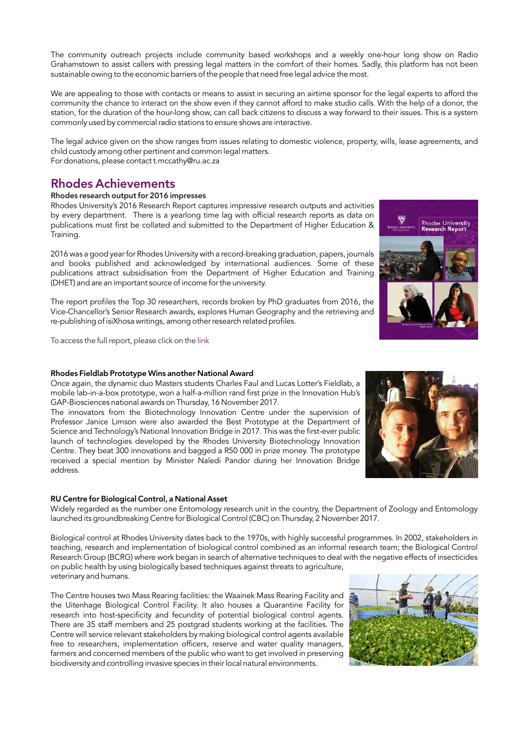The community outreach projects include community based workshops and a weekly one-hour long show on Radio Grahamstown to assist callers with pressing legal matters in the comfort of their homes. Sadly, this platform has not been sustainable owing to the economic barriers of the people that need free legal advice the most.

We are appealing to those with contacts or means to assist in securing an airtime sponsor for the legal experts to afford the community the chance to interact on the show even if they cannot afford to make studio calls. With the help of a donor, the station, for the duration of the hour-long show, can call back citizens to discuss a way forward to their issues. This is a system commonly used by commercial radio stations to ensure shows are interactive.

The legal advice given on the show ranges from issues relating to domestic violence, property, wills, lease agreements, and child custody among other pertinent and common legal matters. For donations, please contact t.mccathy@ru.ac.za

## Rhodes Achievements

#### Rhodes research output for 2016 impresses

Rhodes University's 2016 Research Report captures impressive research outputs and activities by every department. There is a yearlong time lag with official research reports as data on publications must first be collated and submitted to the Department of Higher Education & Training.

2016 was a good year for Rhodes University with a record-breaking graduation, papers, journals and books published and acknowledged by international audiences. Some of these publications attract subsidisation from the Department of Higher Education and Training (DHET) and are an important source of income for the university.

The report profiles the Top 30 researchers, records broken by PhD graduates from 2016, the Vice-Chancellor's Senior Research awards, explores Human Geography and the retrieving and re-publishing of isiXhosa writings, among other research related profiles.

To access the full report, please click on the [link](http://www.ru.ac.za/media/rhodesuniversity/content/digitalpublications/Research%20Report%202016%20FINAL.pdf)

#### Rhodes Fieldlab Prototype Wins another National Award

Once again, the dynamic duo Masters students Charles Faul and Lucas Lotter's Fieldlab, a mobile lab-in-a-box prototype, won a half-a-million rand first prize in the Innovation Hub's GAP-Biosciences national awards on Thursday, 16 November 2017.

The innovators from the Biotechnology Innovation Centre under the supervision of Professor Janice Limson were also awarded the Best Prototype at the Department of Science and Technology's National Innovation Bridge in 2017. This was the first-ever public launch of technologies developed by the Rhodes University Biotechnology Innovation Centre. They beat 300 innovations and bagged a R50 000 in prize money. The prototype received a special mention by Minister Naledi Pandor during her Innovation Bridge address.

#### RU Centre for Biological Control, a National Asset

Widely regarded as the number one Entomology research unit in the country, the Department of Zoology and Entomology launched its groundbreaking Centre for Biological Control (CBC) on Thursday, 2 November 2017.

Biological control at Rhodes University dates back to the 1970s, with highly successful programmes. In 2002, stakeholders in teaching, research and implementation of biological control combined as an informal research team; the Biological Control Research Group (BCRG) where work began in search of alternative techniques to deal with the negative effects of insecticides on public health by using biologically based techniques against threats to agriculture, veterinary and humans.

The Centre houses two Mass Rearing facilities: the Waainek Mass Rearing Facility and the Uitenhage Biological Control Facility. It also houses a Quarantine Facility for research into host-specificity and fecundity of potential biological control agents. There are 35 staff members and 25 postgrad students working at the facilities. The Centre will service relevant stakeholders by making biological control agents available free to researchers, implementation officers, reserve and water quality managers, farmers and concerned members of the public who want to get involved in preserving biodiversity and controlling invasive species in their local natural environments.